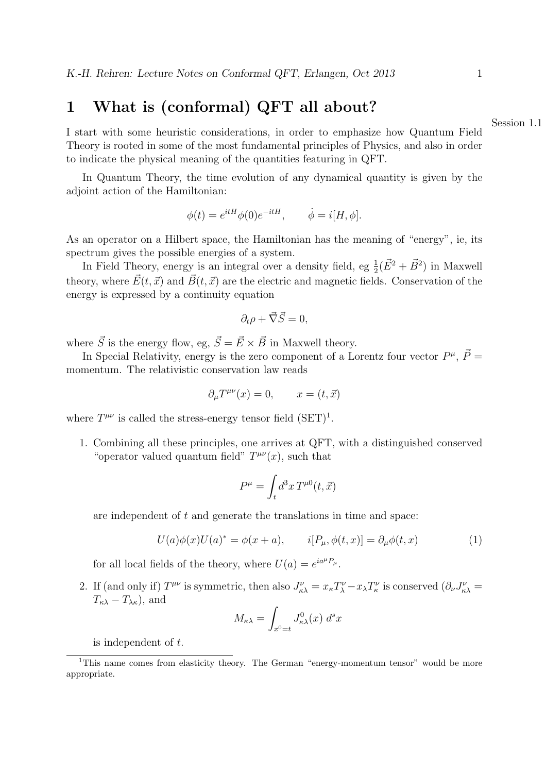# 1 What is (conformal) QFT all about?

I start with some heuristic considerations, in order to emphasize how Quantum Field Theory is rooted in some of the most fundamental principles of Physics, and also in order to indicate the physical meaning of the quantities featuring in QFT.

In Quantum Theory, the time evolution of any dynamical quantity is given by the adjoint action of the Hamiltonian:

$$
\phi(t) = e^{itH}\phi(0)e^{-itH}, \qquad \dot{\phi} = i[H, \phi].
$$

As an operator on a Hilbert space, the Hamiltonian has the meaning of "energy", ie, its spectrum gives the possible energies of a system.

In Field Theory, energy is an integral over a density field, eg  $\frac{1}{2}(\vec{E}^2 + \vec{B}^2)$  in Maxwell theory, where  $\vec{E}(t, \vec{x})$  and  $\vec{B}(t, \vec{x})$  are the electric and magnetic fields. Conservation of the energy is expressed by a continuity equation

$$
\partial_t \rho + \vec{\nabla} \vec{S} = 0,
$$

where  $\vec{S}$  is the energy flow, eg,  $\vec{S} = \vec{E} \times \vec{B}$  in Maxwell theory.

In Special Relativity, energy is the zero component of a Lorentz four vector  $P^{\mu}$ ,  $\vec{P} =$ momentum. The relativistic conservation law reads

$$
\partial_{\mu}T^{\mu\nu}(x) = 0, \qquad x = (t, \vec{x})
$$

where  $T^{\mu\nu}$  is called the stress-energy tensor field  $(SET)^{1}$ .

1. Combining all these principles, one arrives at QFT, with a distinguished conserved "operator valued quantum field"  $T^{\mu\nu}(x)$ , such that

$$
P^{\mu} = \int_t d^3x \, T^{\mu 0}(t, \vec{x})
$$

are independent of t and generate the translations in time and space:

$$
U(a)\phi(x)U(a)^* = \phi(x+a), \qquad i[P_\mu, \phi(t,x)] = \partial_\mu \phi(t,x) \tag{1}
$$

for all local fields of the theory, where  $U(a) = e^{ia^{\mu}P_{\mu}}$ .

2. If (and only if)  $T^{\mu\nu}$  is symmetric, then also  $J^{\nu}_{\kappa\lambda} = x_{\kappa}T^{\nu}_{\lambda} - x_{\lambda}T^{\nu}_{\kappa}$  is conserved  $(\partial_{\nu}J^{\nu}_{\kappa\lambda} =$  $T_{\kappa\lambda} - T_{\lambda\kappa}$ , and

$$
M_{\kappa\lambda} = \int_{x^0=t} J^0_{\kappa\lambda}(x) \; d^s x
$$

is independent of t.

Session 1.1

<sup>&</sup>lt;sup>1</sup>This name comes from elasticity theory. The German "energy-momentum tensor" would be more appropriate.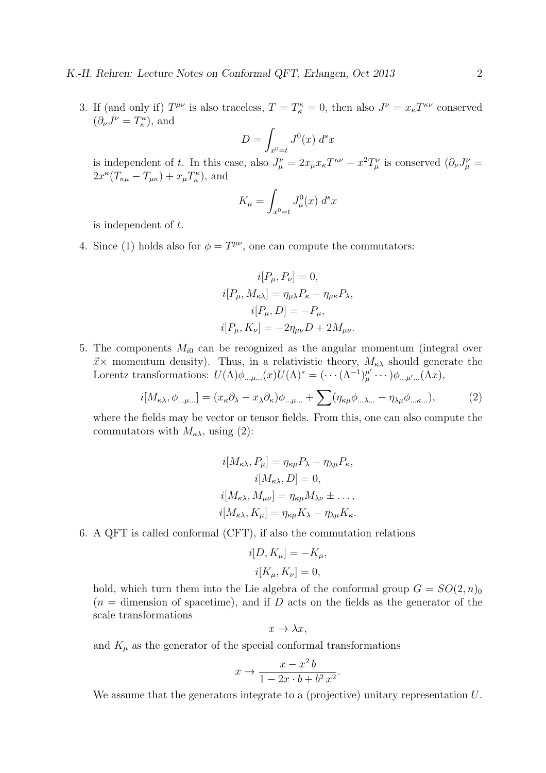3. If (and only if)  $T^{\mu\nu}$  is also traceless,  $T = T_{\kappa}^{\kappa} = 0$ , then also  $J^{\nu} = x_{\kappa} T^{\kappa\nu}$  conserved  $(\partial_{\nu}J^{\nu}=T_{\kappa}^{\kappa}),$  and

$$
D = \int_{x^0 = t} J^0(x) \; d^s x
$$

is independent of t. In this case, also  $J^{\nu}_{\mu} = 2x_{\mu}x_{\kappa}T^{\kappa\nu} - x^2T^{\nu}_{\mu}$  is conserved  $(\partial_{\nu}J^{\nu}_{\mu} =$  $2x^{\kappa}(T_{\kappa\mu}-T_{\mu\kappa})+x_{\mu}T_{\kappa}^{\kappa}),$  and

$$
K_{\mu} = \int_{x^0=t} J_{\mu}^0(x) d^s x
$$

is independent of t.

4. Since (1) holds also for  $\phi = T^{\mu\nu}$ , one can compute the commutators:

$$
i[P_{\mu}, P_{\nu}] = 0,
$$
  
\n
$$
i[P_{\mu}, M_{\kappa\lambda}] = \eta_{\mu\lambda} P_{\kappa} - \eta_{\mu\kappa} P_{\lambda},
$$
  
\n
$$
i[P_{\mu}, D] = -P_{\mu},
$$
  
\n
$$
i[P_{\mu}, K_{\nu}] = -2\eta_{\mu\nu} D + 2M_{\mu\nu}.
$$

5. The components  $M_{i0}$  can be recognized as the angular momentum (integral over  $\vec{x}$ × momentum density). Thus, in a relativistic theory,  $M_{\kappa\lambda}$  should generate the Lorentz transformations:  $U(\Lambda)\phi_{\ldots\mu\ldots}(x)U(\Lambda)^* = (\cdots(\Lambda^{-1})^{\mu'}_{\mu\mu\ldots})$  $_{\mu}^{\mu'} \cdots )\phi_{...\mu'...}(\Lambda x),$ 

$$
i[M_{\kappa\lambda}, \phi_{\ldots\mu\ldots}] = (x_{\kappa}\partial_{\lambda} - x_{\lambda}\partial_{\kappa})\phi_{\ldots\mu\ldots} + \sum (\eta_{\kappa\mu}\phi_{\ldots\lambda\ldots} - \eta_{\lambda\mu}\phi_{\ldots\kappa\ldots}),
$$
 (2)

where the fields may be vector or tensor fields. From this, one can also compute the commutators with  $M_{\kappa\lambda}$ , using (2):

$$
i[M_{\kappa\lambda}, P_{\mu}] = \eta_{\kappa\mu} P_{\lambda} - \eta_{\lambda\mu} P_{\kappa},
$$
  
\n
$$
i[M_{\kappa\lambda}, D] = 0,
$$
  
\n
$$
i[M_{\kappa\lambda}, M_{\mu\nu}] = \eta_{\kappa\mu} M_{\lambda\nu} \pm ...,
$$
  
\n
$$
i[M_{\kappa\lambda}, K_{\mu}] = \eta_{\kappa\mu} K_{\lambda} - \eta_{\lambda\mu} K_{\kappa}.
$$

6. A QFT is called conformal (CFT), if also the commutation relations

$$
i[D, K_{\mu}] = -K_{\mu},
$$
  

$$
i[K_{\mu}, K_{\nu}] = 0,
$$

hold, which turn them into the Lie algebra of the conformal group  $G = SO(2, n)$ <sub>0</sub>  $(n =$  dimension of spacetime), and if D acts on the fields as the generator of the scale transformations

$$
x \to \lambda x,
$$

and  $K_{\mu}$  as the generator of the special conformal transformations

$$
x \to \frac{x - x^2 b}{1 - 2x \cdot b + b^2 x^2}
$$

.

We assume that the generators integrate to a (projective) unitary representation U.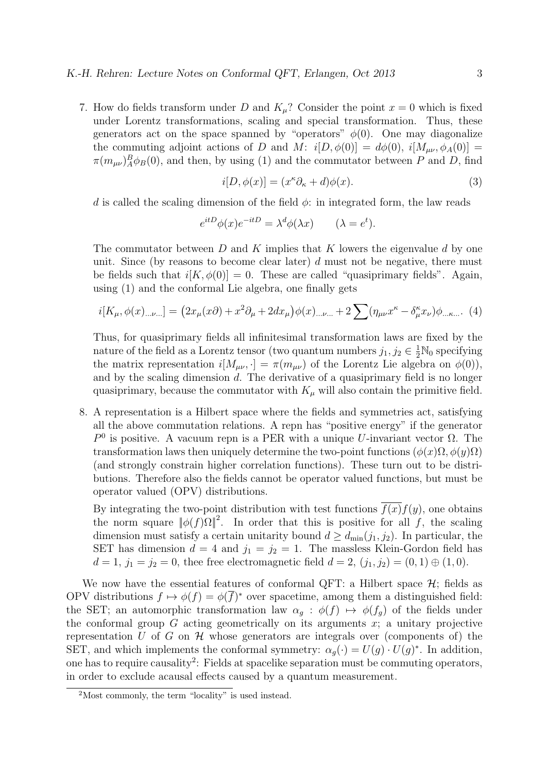7. How do fields transform under D and  $K_{\mu}$ ? Consider the point  $x = 0$  which is fixed under Lorentz transformations, scaling and special transformation. Thus, these generators act on the space spanned by "operators"  $\phi(0)$ . One may diagonalize the commuting adjoint actions of D and M:  $i[D, \phi(0)] = d\phi(0), i[M_{\mu\nu}, \phi_A(0)] =$  $\pi(m_{\mu\nu})^B_A\phi_B(0)$ , and then, by using (1) and the commutator between P and D, find

$$
i[D, \phi(x)] = (x^{\kappa} \partial_{\kappa} + d)\phi(x). \tag{3}
$$

d is called the scaling dimension of the field  $\phi$ : in integrated form, the law reads

$$
e^{itD}\phi(x)e^{-itD} = \lambda^d\phi(\lambda x) \qquad (\lambda = e^t).
$$

The commutator between  $D$  and  $K$  implies that  $K$  lowers the eigenvalue  $d$  by one unit. Since (by reasons to become clear later)  $d$  must not be negative, there must be fields such that  $i[K, \phi(0)] = 0$ . These are called "quasiprimary fields". Again, using (1) and the conformal Lie algebra, one finally gets

$$
i[K_{\mu}, \phi(x)_{... \nu...}] = (2x_{\mu}(x\partial) + x^2 \partial_{\mu} + 2dx_{\mu})\phi(x)_{... \nu...} + 2\sum (\eta_{\mu\nu}x^{\kappa} - \delta_{\mu}^{\kappa}x_{\nu})\phi_{... \kappa...}.
$$
 (4)

Thus, for quasiprimary fields all infinitesimal transformation laws are fixed by the nature of the field as a Lorentz tensor (two quantum numbers  $j_1, j_2 \in \frac{1}{2} \mathbb{N}_0$  specifying the matrix representation  $i[M_{\mu\nu}, \cdot] = \pi(m_{\mu\nu})$  of the Lorentz Lie algebra on  $\phi(0)$ ), and by the scaling dimension d. The derivative of a quasiprimary field is no longer quasiprimary, because the commutator with  $K_{\mu}$  will also contain the primitive field.

8. A representation is a Hilbert space where the fields and symmetries act, satisfying all the above commutation relations. A repn has "positive energy" if the generator  $P<sup>0</sup>$  is positive. A vacuum repn is a PER with a unique U-invariant vector Ω. The transformation laws then uniquely determine the two-point functions  $(\phi(x)\Omega, \phi(y)\Omega)$ (and strongly constrain higher correlation functions). These turn out to be distributions. Therefore also the fields cannot be operator valued functions, but must be operator valued (OPV) distributions.

By integrating the two-point distribution with test functions  $\overline{f(x)}f(y)$ , one obtains the norm square  $\|\phi(f)\Omega\|^2$ . In order that this is positive for all f, the scaling dimension must satisfy a certain unitarity bound  $d \geq d_{\min}(j_1, j_2)$ . In particular, the SET has dimension  $d = 4$  and  $j_1 = j_2 = 1$ . The massless Klein-Gordon field has  $d = 1, j_1 = j_2 = 0$ , thee free electromagnetic field  $d = 2, (j_1, j_2) = (0, 1) \oplus (1, 0)$ .

We now have the essential features of conformal QFT: a Hilbert space  $\mathcal{H}$ ; fields as OPV distributions  $f \mapsto \phi(f) = \phi(\overline{f})^*$  over spacetime, among them a distinguished field: the SET; an automorphic transformation law  $\alpha_q : \phi(f) \mapsto \phi(f_q)$  of the fields under the conformal group  $G$  acting geometrically on its arguments  $x$ ; a unitary projective representation U of G on  $\mathcal H$  whose generators are integrals over (components of) the SET, and which implements the conformal symmetry:  $\alpha_g(\cdot) = U(g) \cdot U(g)^*$ . In addition, one has to require causality<sup>2</sup>: Fields at spacelike separation must be commuting operators, in order to exclude acausal effects caused by a quantum measurement.

 $2^{\circ}$ Most commonly, the term "locality" is used instead.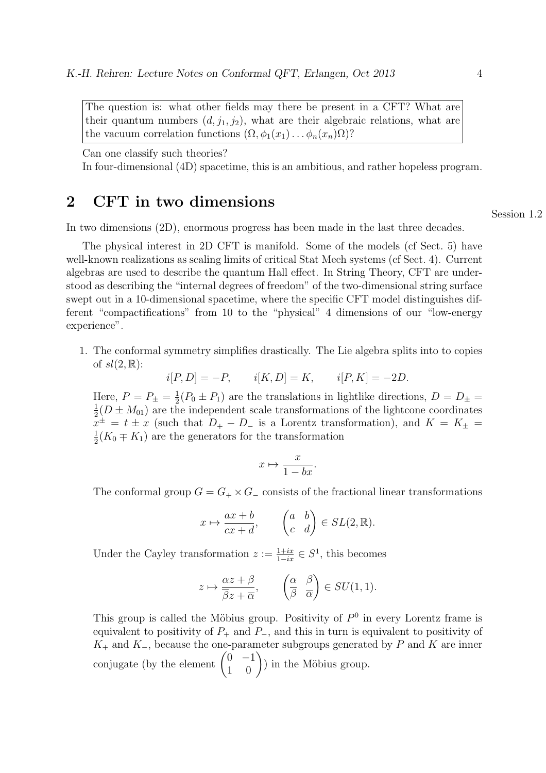The question is: what other fields may there be present in a CFT? What are their quantum numbers  $(d, j_1, j_2)$ , what are their algebraic relations, what are the vacuum correlation functions  $(\Omega, \phi_1(x_1) \dots \phi_n(x_n)\Omega)$ ?

Can one classify such theories?

In four-dimensional (4D) spacetime, this is an ambitious, and rather hopeless program.

## 2 CFT in two dimensions

In two dimensions (2D), enormous progress has been made in the last three decades.

The physical interest in 2D CFT is manifold. Some of the models (cf Sect. 5) have well-known realizations as scaling limits of critical Stat Mech systems (cf Sect. 4). Current algebras are used to describe the quantum Hall effect. In String Theory, CFT are understood as describing the "internal degrees of freedom" of the two-dimensional string surface swept out in a 10-dimensional spacetime, where the specific CFT model distinguishes different "compactifications" from 10 to the "physical" 4 dimensions of our "low-energy experience".

1. The conformal symmetry simplifies drastically. The Lie algebra splits into to copies of  $sl(2,\mathbb{R})$ :

$$
i[P, D] = -P,
$$
  $i[K, D] = K,$   $i[P, K] = -2D.$ 

Here,  $P = P_{\pm} = \frac{1}{2}$  $\frac{1}{2}(P_0 \pm P_1)$  are the translations in lightlike directions,  $D = D_{\pm} =$ 1  $\frac{1}{2}(D \pm M_{01})$  are the independent scale transformations of the lightcone coordinates  $x^{\pm} = t \pm x$  (such that  $D_{+} - D_{-}$  is a Lorentz transformation), and  $K = K_{\pm} =$ 1  $\frac{1}{2}(K_0 \mp K_1)$  are the generators for the transformation

$$
x \mapsto \frac{x}{1 - bx}.
$$

The conformal group  $G = G_+ \times G_-$  consists of the fractional linear transformations

$$
x \mapsto \frac{ax+b}{cx+d}, \qquad \begin{pmatrix} a & b \\ c & d \end{pmatrix} \in SL(2, \mathbb{R}).
$$

Under the Cayley transformation  $z := \frac{1+ix}{1-ix} \in S^1$ , this becomes

$$
z \mapsto \frac{\alpha z + \beta}{\overline{\beta}z + \overline{\alpha}}, \qquad \left(\frac{\alpha}{\beta} \quad \frac{\beta}{\alpha}\right) \in SU(1, 1).
$$

This group is called the Möbius group. Positivity of  $P^0$  in every Lorentz frame is equivalent to positivity of  $P_+$  and  $P_-$ , and this in turn is equivalent to positivity of  $K_{+}$  and  $K_{-}$ , because the one-parameter subgroups generated by P and K are inner conjugate (by the element  $\begin{pmatrix} 0 & -1 \\ 1 & 0 \end{pmatrix}$ ) in the Möbius group.

#### Session 1.2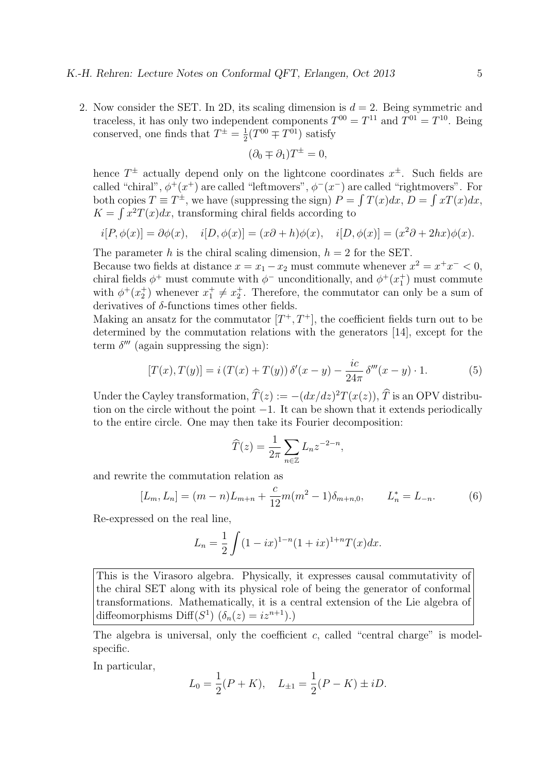2. Now consider the SET. In 2D, its scaling dimension is  $d = 2$ . Being symmetric and traceless, it has only two independent components  $T^{00} = T^{11}$  and  $T^{01} = T^{10}$ . Being conserved, one finds that  $T^{\pm} = \frac{1}{2}$  $\frac{1}{2}(T^{00} \mp T^{01})$  satisfy

$$
(\partial_0 \mp \partial_1)T^{\pm} = 0,
$$

hence  $T^{\pm}$  actually depend only on the lightcone coordinates  $x^{\pm}$ . Such fields are called "chiral",  $\phi^+(x^+)$  are called "leftmovers",  $\phi^-(x^-)$  are called "rightmovers". For both copies  $T \equiv T^{\pm}$ , we have (suppressing the sign)  $P = \int T(x)dx$ ,  $D = \int xT(x)dx$ ,  $K = \int x^2 T(x) dx$ , transforming chiral fields according to

$$
i[P, \phi(x)] = \partial \phi(x), \quad i[D, \phi(x)] = (x\partial + h)\phi(x), \quad i[D, \phi(x)] = (x^2\partial + 2hx)\phi(x).
$$

The parameter h is the chiral scaling dimension,  $h = 2$  for the SET.

Because two fields at distance  $x = x_1 - x_2$  must commute whenever  $x^2 = x^+ x^- < 0$ , chiral fields  $\phi^+$  must commute with  $\phi^-$  unconditionally, and  $\phi^+(x_1^+)$  must commute with  $\phi^+(x_2^+)$  whenever  $x_1^+ \neq x_2^+$ . Therefore, the commutator can only be a sum of derivatives of  $\delta$ -functions times other fields.

Making an ansatz for the commutator  $[T^+, T^+]$ , the coefficient fields turn out to be determined by the commutation relations with the generators [14], except for the term  $\delta^{\prime\prime\prime}$  (again suppressing the sign):

$$
[T(x), T(y)] = i (T(x) + T(y)) \delta'(x - y) - \frac{ic}{24\pi} \delta'''(x - y) \cdot 1.
$$
 (5)

Under the Cayley transformation,  $\hat{T}(z) := -(dx/dz)^2 T(x(z))$ , T is an OPV distribution on the circle without the point −1. It can be shown that it extends periodically to the entire circle. One may then take its Fourier decomposition:

$$
\widehat{T}(z) = \frac{1}{2\pi} \sum_{n \in \mathbb{Z}} L_n z^{-2-n},
$$

and rewrite the commutation relation as

$$
[L_m, L_n] = (m - n)L_{m+n} + \frac{c}{12}m(m^2 - 1)\delta_{m+n,0}, \qquad L_n^* = L_{-n}.
$$
 (6)

Re-expressed on the real line,

$$
L_n = \frac{1}{2} \int (1 - ix)^{1-n} (1 + ix)^{1+n} T(x) dx.
$$

This is the Virasoro algebra. Physically, it expresses causal commutativity of the chiral SET along with its physical role of being the generator of conformal transformations. Mathematically, it is a central extension of the Lie algebra of diffeomorphisms  $\text{Diff}(S^1)$   $(\delta_n(z) = iz^{n+1})$ .)

The algebra is universal, only the coefficient  $c$ , called "central charge" is modelspecific.

In particular,

$$
L_0 = \frac{1}{2}(P + K)
$$
,  $L_{\pm 1} = \frac{1}{2}(P - K) \pm iD$ .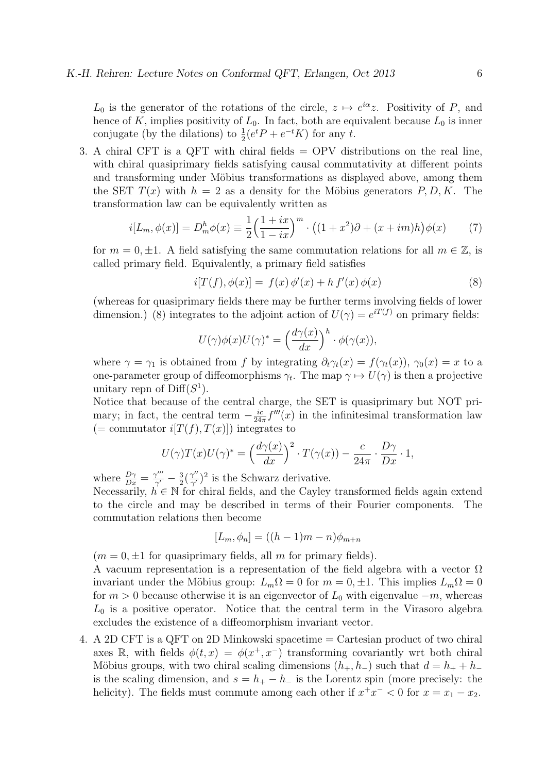$L_0$  is the generator of the rotations of the circle,  $z \mapsto e^{i\alpha}z$ . Positivity of P, and hence of K, implies positivity of  $L_0$ . In fact, both are equivalent because  $L_0$  is inner conjugate (by the dilations) to  $\frac{1}{2}(e^t P + e^{-t} K)$  for any t.

3. A chiral CFT is a QFT with chiral fields = OPV distributions on the real line, with chiral quasiprimary fields satisfying causal commutativity at different points and transforming under Möbius transformations as displayed above, among them the SET  $T(x)$  with  $h = 2$  as a density for the Möbius generators P, D, K. The transformation law can be equivalently written as

$$
i[L_m, \phi(x)] = D_m^h \phi(x) \equiv \frac{1}{2} \left( \frac{1+ix}{1-ix} \right)^m \cdot \left( (1+x^2)\partial + (x+im)h \right) \phi(x) \tag{7}
$$

for  $m = 0, \pm 1$ . A field satisfying the same commutation relations for all  $m \in \mathbb{Z}$ , is called primary field. Equivalently, a primary field satisfies

$$
i[T(f), \phi(x)] = f(x)\,\phi'(x) + h\,f'(x)\,\phi(x) \tag{8}
$$

(whereas for quasiprimary fields there may be further terms involving fields of lower dimension.) (8) integrates to the adjoint action of  $U(\gamma) = e^{iT(f)}$  on primary fields:

$$
U(\gamma)\phi(x)U(\gamma)^* = \left(\frac{d\gamma(x)}{dx}\right)^h \cdot \phi(\gamma(x)),
$$

where  $\gamma = \gamma_1$  is obtained from f by integrating  $\partial_t \gamma_t(x) = f(\gamma_t(x))$ ,  $\gamma_0(x) = x$  to a one-parameter group of diffeomorphisms  $\gamma_t$ . The map  $\gamma \mapsto U(\gamma)$  is then a projective unitary repn of  $\text{Diff}(S^1)$ .

Notice that because of the central charge, the SET is quasiprimary but NOT primary; in fact, the central term  $-\frac{ic}{24i}$  $\frac{ic}{24\pi}f'''(x)$  in the infinitesimal transformation law  $($  = commutator  $i[T(f), T(x)]$  integrates to

$$
U(\gamma)T(x)U(\gamma)^* = \left(\frac{d\gamma(x)}{dx}\right)^2 \cdot T(\gamma(x)) - \frac{c}{24\pi} \cdot \frac{D\gamma}{Dx} \cdot 1,
$$

where  $\frac{D\gamma}{Dx} = \frac{\gamma'''}{\gamma'}$  $\frac{\gamma^{\prime\prime\prime}}{\gamma^{\prime}}-\frac{3}{2}$  $\frac{3}{2}(\frac{\gamma''}{\gamma'}$  $(\frac{\gamma''}{\gamma'})^2$  is the Schwarz derivative.

Necessarily,  $h \in \mathbb{N}$  for chiral fields, and the Cayley transformed fields again extend to the circle and may be described in terms of their Fourier components. The commutation relations then become

$$
[L_m, \phi_n] = ((h-1)m - n)\phi_{m+n}
$$

 $(m = 0, \pm 1$  for quasiprimary fields, all m for primary fields).

A vacuum representation is a representation of the field algebra with a vector  $\Omega$ invariant under the Möbius group:  $L_m\Omega = 0$  for  $m = 0, \pm 1$ . This implies  $L_m\Omega = 0$ for  $m > 0$  because otherwise it is an eigenvector of  $L_0$  with eigenvalue  $-m$ , whereas  $L_0$  is a positive operator. Notice that the central term in the Virasoro algebra excludes the existence of a diffeomorphism invariant vector.

4. A 2D CFT is a QFT on 2D Minkowski spacetime = Cartesian product of two chiral axes R, with fields  $\phi(t,x) = \phi(x^+,x^-)$  transforming covariantly wrt both chiral Möbius groups, with two chiral scaling dimensions  $(h_+, h_-)$  such that  $d = h_+ + h_$ is the scaling dimension, and  $s = h_{+} - h_{-}$  is the Lorentz spin (more precisely: the helicity). The fields must commute among each other if  $x^+x^- < 0$  for  $x = x_1 - x_2$ .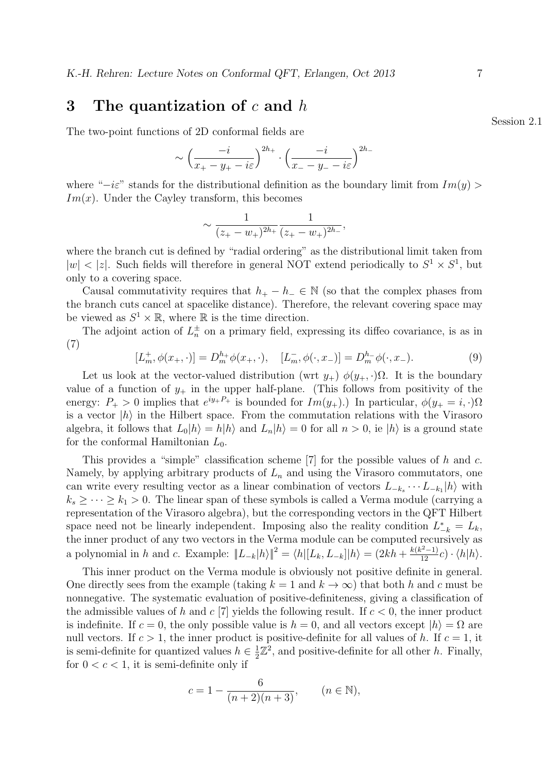### 3 The quantization of  $c$  and  $h$

The two-point functions of 2D conformal fields are

$$
\sim \left(\frac{-i}{x_+ - y_+ - i\varepsilon}\right)^{2h_+} \cdot \left(\frac{-i}{x_- - y_- - i\varepsilon}\right)^{2h_-}
$$

where " $-i\varepsilon$ " stands for the distributional definition as the boundary limit from  $Im(y)$  $Im(x)$ . Under the Cayley transform, this becomes

$$
\sim \frac{1}{(z_+ - w_+)^{2h_+}} \frac{1}{(z_+ - w_+)^{2h_-}},
$$

where the branch cut is defined by "radial ordering" as the distributional limit taken from  $|w| < |z|$ . Such fields will therefore in general NOT extend periodically to  $S^1 \times S^1$ , but only to a covering space.

Causal commutativity requires that  $h_+ - h_- \in \mathbb{N}$  (so that the complex phases from the branch cuts cancel at spacelike distance). Therefore, the relevant covering space may be viewed as  $S^1 \times \mathbb{R}$ , where  $\mathbb R$  is the time direction.

The adjoint action of  $L_n^{\pm}$  on a primary field, expressing its diffeo covariance, is as in (7)

$$
[L_m^+, \phi(x_+, \cdot)] = D_m^{h_+} \phi(x_+, \cdot), \quad [L_m^-, \phi(\cdot, x_-)] = D_m^{h_-} \phi(\cdot, x_-). \tag{9}
$$

Let us look at the vector-valued distribution (wrt  $y_+$ )  $\phi(y_+,\cdot)\Omega$ . It is the boundary value of a function of  $y_+$  in the upper half-plane. (This follows from positivity of the energy:  $P_+ > 0$  implies that  $e^{iy_+P_+}$  is bounded for  $Im(y_+)$ .) In particular,  $\phi(y_+ = i, \cdot) \Omega$ is a vector  $|h\rangle$  in the Hilbert space. From the commutation relations with the Virasoro algebra, it follows that  $L_0|h\rangle = h|h\rangle$  and  $L_n|h\rangle = 0$  for all  $n > 0$ , ie  $|h\rangle$  is a ground state for the conformal Hamiltonian  $L_0$ .

This provides a "simple" classification scheme [7] for the possible values of  $h$  and  $c$ . Namely, by applying arbitrary products of  $L_n$  and using the Virasoro commutators, one can write every resulting vector as a linear combination of vectors  $L_{-k_s} \cdots L_{-k_1} |h\rangle$  with  $k_s \geq \cdots \geq k_1 > 0$ . The linear span of these symbols is called a Verma module (carrying a representation of the Virasoro algebra), but the corresponding vectors in the QFT Hilbert space need not be linearly independent. Imposing also the reality condition  $L_{-k}^* = L_k$ , the inner product of any two vectors in the Verma module can be computed recursively as a polynomial in h and c. Example:  $||L_{-k}|h\rangle||^2 = \langle h|[L_k, L_{-k}]|h\rangle = (2kh + \frac{k(k^2-1)}{12}c) \cdot \langle h|h\rangle$ .

This inner product on the Verma module is obviously not positive definite in general. One directly sees from the example (taking  $k = 1$  and  $k \to \infty$ ) that both h and c must be nonnegative. The systematic evaluation of positive-definiteness, giving a classification of the admissible values of h and c [7] yields the following result. If  $c < 0$ , the inner product is indefinite. If  $c = 0$ , the only possible value is  $h = 0$ , and all vectors except  $|h\rangle = \Omega$  are null vectors. If  $c > 1$ , the inner product is positive-definite for all values of h. If  $c = 1$ , it is semi-definite for quantized values  $h \in \frac{1}{2}$  $\frac{1}{2}\mathbb{Z}^2$ , and positive-definite for all other h. Finally, for  $0 < c < 1$ , it is semi-definite only if

$$
c = 1 - \frac{6}{(n+2)(n+3)},
$$
  $(n \in \mathbb{N}),$ 

Session 2.1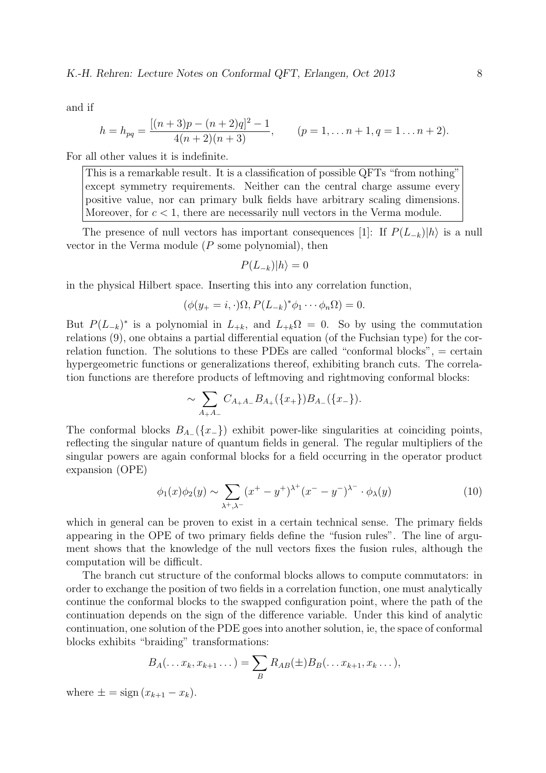and if

$$
h = h_{pq} = \frac{[(n+3)p - (n+2)q]^2 - 1}{4(n+2)(n+3)}, \qquad (p = 1, \dots n+1, q = 1 \dots n+2).
$$

For all other values it is indefinite.

This is a remarkable result. It is a classification of possible QFTs "from nothing" except symmetry requirements. Neither can the central charge assume every positive value, nor can primary bulk fields have arbitrary scaling dimensions. Moreover, for  $c < 1$ , there are necessarily null vectors in the Verma module.

The presence of null vectors has important consequences [1]: If  $P(L_{-k})|h\rangle$  is a null vector in the Verma module  $(P \text{ some polynomial})$ , then

$$
P(L_{-k})|h\rangle = 0
$$

in the physical Hilbert space. Inserting this into any correlation function,

$$
(\phi(y_+ = i, \cdot)\Omega, P(L_{-k})^*\phi_1\cdots\phi_n\Omega) = 0.
$$

But  $P(L_{-k})^*$  is a polynomial in  $L_{+k}$ , and  $L_{+k}\Omega = 0$ . So by using the commutation relations (9), one obtains a partial differential equation (of the Fuchsian type) for the correlation function. The solutions to these PDEs are called "conformal blocks", = certain hypergeometric functions or generalizations thereof, exhibiting branch cuts. The correlation functions are therefore products of leftmoving and rightmoving conformal blocks:

$$
\sim \sum_{A_+A_-} C_{A_+A_-} B_{A_+}(\{x_+\}) B_{A_-}(\{x_-\}).
$$

The conformal blocks  $B_{A-}(\lbrace x_{-} \rbrace)$  exhibit power-like singularities at coinciding points, reflecting the singular nature of quantum fields in general. The regular multipliers of the singular powers are again conformal blocks for a field occurring in the operator product expansion (OPE)

$$
\phi_1(x)\phi_2(y) \sim \sum_{\lambda^+, \lambda^-} (x^+ - y^+)^{\lambda^+} (x^- - y^-)^{\lambda^-} \cdot \phi_\lambda(y) \tag{10}
$$

which in general can be proven to exist in a certain technical sense. The primary fields appearing in the OPE of two primary fields define the "fusion rules". The line of argument shows that the knowledge of the null vectors fixes the fusion rules, although the computation will be difficult.

The branch cut structure of the conformal blocks allows to compute commutators: in order to exchange the position of two fields in a correlation function, one must analytically continue the conformal blocks to the swapped configuration point, where the path of the continuation depends on the sign of the difference variable. Under this kind of analytic continuation, one solution of the PDE goes into another solution, ie, the space of conformal blocks exhibits "braiding" transformations:

$$
B_A(\ldots x_k, x_{k+1} \ldots) = \sum_B R_{AB}(\pm) B_B(\ldots x_{k+1}, x_k \ldots),
$$

where  $\pm =$  sign  $(x_{k+1} - x_k)$ .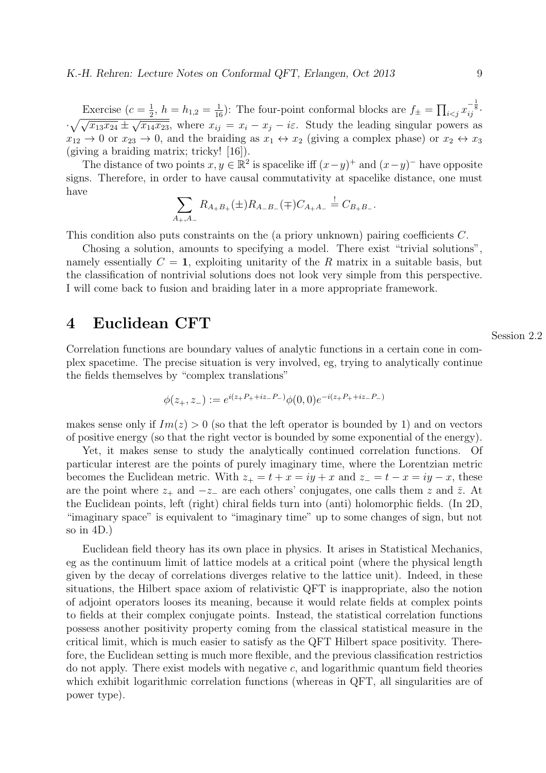Exercise  $(c=\frac{1}{2})$  $\frac{1}{2}$ ,  $h = h_{1,2} = \frac{1}{16}$ : The four-point conformal blocks are  $f_{\pm} = \prod_{i < j} x_{ij}^{-\frac{1}{8}}$ .  $\sqrt{\sqrt{x_{13}x_{24}} \pm \sqrt{x_{14}x_{23}}}$ , where  $x_{ij} = x_i - x_j - i\varepsilon$ . Study the leading singular powers as  $x_{12} \rightarrow 0$  or  $x_{23} \rightarrow 0$ , and the braiding as  $x_1 \leftrightarrow x_2$  (giving a complex phase) or  $x_2 \leftrightarrow x_3$ (giving a braiding matrix; tricky! [16]).

The distance of two points  $x, y \in \mathbb{R}^2$  is spacelike iff  $(x-y)^+$  and  $(x-y)^-$  have opposite signs. Therefore, in order to have causal commutativity at spacelike distance, one must have

$$
\sum_{A_+,A_-} R_{A_+B_+}(\pm) R_{A_-B_-}(\mp) C_{A_+A_-} \stackrel{!}{=} C_{B_+B_-}.
$$

This condition also puts constraints on the (a priory unknown) pairing coefficients C.

Chosing a solution, amounts to specifying a model. There exist "trivial solutions", namely essentially  $C = 1$ , exploiting unitarity of the R matrix in a suitable basis, but the classification of nontrivial solutions does not look very simple from this perspective. I will come back to fusion and braiding later in a more appropriate framework.

#### 4 Euclidean CFT

Correlation functions are boundary values of analytic functions in a certain cone in complex spacetime. The precise situation is very involved, eg, trying to analytically continue the fields themselves by "complex translations"

$$
\phi(z_+, z_-) := e^{i(z_+P_+ + iz_-P_-)}\phi(0, 0)e^{-i(z_+P_+ + iz_-P_-)}
$$

makes sense only if  $Im(z) > 0$  (so that the left operator is bounded by 1) and on vectors of positive energy (so that the right vector is bounded by some exponential of the energy).

Yet, it makes sense to study the analytically continued correlation functions. Of particular interest are the points of purely imaginary time, where the Lorentzian metric becomes the Euclidean metric. With  $z_+ = t + x = iy + x$  and  $z_- = t - x = iy - x$ , these are the point where  $z_+$  and  $-z_-$  are each others' conjugates, one calls them z and  $\bar{z}$ . At the Euclidean points, left (right) chiral fields turn into (anti) holomorphic fields. (In 2D, "imaginary space" is equivalent to "imaginary time" up to some changes of sign, but not so in 4D.)

Euclidean field theory has its own place in physics. It arises in Statistical Mechanics, eg as the continuum limit of lattice models at a critical point (where the physical length given by the decay of correlations diverges relative to the lattice unit). Indeed, in these situations, the Hilbert space axiom of relativistic QFT is inappropriate, also the notion of adjoint operators looses its meaning, because it would relate fields at complex points to fields at their complex conjugate points. Instead, the statistical correlation functions possess another positivity property coming from the classical statistical measure in the critical limit, which is much easier to satisfy as the QFT Hilbert space positivity. Therefore, the Euclidean setting is much more flexible, and the previous classification restrictios do not apply. There exist models with negative  $c$ , and logarithmic quantum field theories which exhibit logarithmic correlation functions (whereas in QFT, all singularities are of power type).

Session 2.2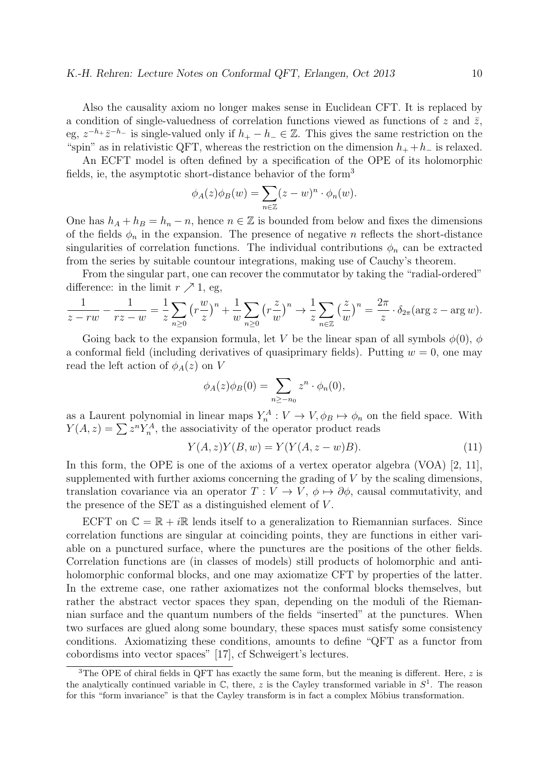Also the causality axiom no longer makes sense in Euclidean CFT. It is replaced by a condition of single-valuedness of correlation functions viewed as functions of z and  $\bar{z}$ , eg,  $z^{-h_+} \overline{z}^{-h_-}$  is single-valued only if  $h_+ - h_- \in \mathbb{Z}$ . This gives the same restriction on the "spin" as in relativistic QFT, whereas the restriction on the dimension  $h_+ + h_-$  is relaxed.

An ECFT model is often defined by a specification of the OPE of its holomorphic fields, ie, the asymptotic short-distance behavior of the form<sup>3</sup>

$$
\phi_A(z)\phi_B(w) = \sum_{n \in \mathbb{Z}} (z - w)^n \cdot \phi_n(w).
$$

One has  $h_A + h_B = h_n - n$ , hence  $n \in \mathbb{Z}$  is bounded from below and fixes the dimensions of the fields  $\phi_n$  in the expansion. The presence of negative n reflects the short-distance singularities of correlation functions. The individual contributions  $\phi_n$  can be extracted from the series by suitable countour integrations, making use of Cauchy's theorem.

From the singular part, one can recover the commutator by taking the "radial-ordered" difference: in the limit  $r \nearrow 1$ , eg,

$$
\frac{1}{z-rw} - \frac{1}{rz-w} = \frac{1}{z} \sum_{n\geq 0} (r\frac{w}{z})^n + \frac{1}{w} \sum_{n\geq 0} (r\frac{z}{w})^n \to \frac{1}{z} \sum_{n\in\mathbb{Z}} (\frac{z}{w})^n = \frac{2\pi}{z} \cdot \delta_{2\pi}(\arg z - \arg w).
$$

Going back to the expansion formula, let V be the linear span of all symbols  $\phi(0), \phi$ a conformal field (including derivatives of quasiprimary fields). Putting  $w = 0$ , one may read the left action of  $\phi_A(z)$  on V

$$
\phi_A(z)\phi_B(0) = \sum_{n\geq -n_0} z^n \cdot \phi_n(0),
$$

as a Laurent polynomial in linear maps  $Y_n^A: V \to V, \phi_B \mapsto \phi_n$  on the field space. With  $Y(A, z) = \sum z^n Y_n^A$ , the associativity of the operator product reads

$$
Y(A, z)Y(B, w) = Y(Y(A, z - w)B).
$$
\n(11)

In this form, the OPE is one of the axioms of a vertex operator algebra  $(VOA)$  [2, 11], supplemented with further axioms concerning the grading of  $V$  by the scaling dimensions, translation covariance via an operator  $T : V \to V$ ,  $\phi \mapsto \partial \phi$ , causal commutativity, and the presence of the SET as a distinguished element of V .

ECFT on  $\mathbb{C} = \mathbb{R} + i\mathbb{R}$  lends itself to a generalization to Riemannian surfaces. Since correlation functions are singular at coinciding points, they are functions in either variable on a punctured surface, where the punctures are the positions of the other fields. Correlation functions are (in classes of models) still products of holomorphic and antiholomorphic conformal blocks, and one may axiomatize CFT by properties of the latter. In the extreme case, one rather axiomatizes not the conformal blocks themselves, but rather the abstract vector spaces they span, depending on the moduli of the Riemannian surface and the quantum numbers of the fields "inserted" at the punctures. When two surfaces are glued along some boundary, these spaces must satisfy some consistency conditions. Axiomatizing these conditions, amounts to define "QFT as a functor from cobordisms into vector spaces" [17], cf Schweigert's lectures.

 $3$ The OPE of chiral fields in QFT has exactly the same form, but the meaning is different. Here,  $z$  is the analytically continued variable in  $\mathbb{C}$ , there, z is the Cayley transformed variable in  $S^1$ . The reason for this "form invariance" is that the Cayley transform is in fact a complex Möbius transformation.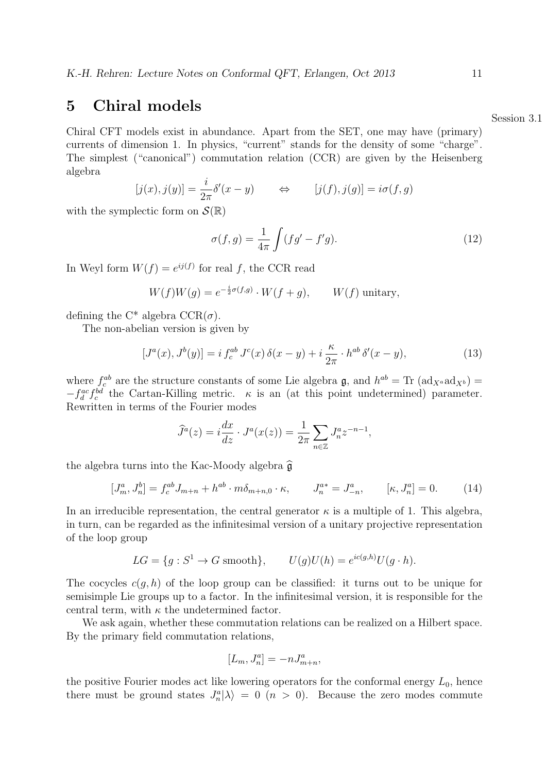### 5 Chiral models

Chiral CFT models exist in abundance. Apart from the SET, one may have (primary) currents of dimension 1. In physics, "current" stands for the density of some "charge". The simplest ("canonical") commutation relation (CCR) are given by the Heisenberg algebra

$$
[j(x), j(y)] = \frac{i}{2\pi} \delta'(x - y) \qquad \Leftrightarrow \qquad [j(f), j(g)] = i\sigma(f, g)
$$

with the symplectic form on  $\mathcal{S}(\mathbb{R})$ 

$$
\sigma(f,g) = \frac{1}{4\pi} \int (fg' - f'g). \tag{12}
$$

In Weyl form  $W(f) = e^{ij(f)}$  for real f, the CCR read

$$
W(f)W(g) = e^{-\frac{i}{2}\sigma(f,g)} \cdot W(f+g), \qquad W(f) \text{ unitary},
$$

defining the  $C^*$  algebra  $CCR(\sigma)$ .

The non-abelian version is given by

$$
[J^{a}(x), J^{b}(y)] = i f_{c}^{ab} J^{c}(x) \delta(x - y) + i \frac{\kappa}{2\pi} \cdot h^{ab} \delta'(x - y), \qquad (13)
$$

where  $f_c^{ab}$  are the structure constants of some Lie algebra  $\mathfrak{g}$ , and  $h^{ab} = \text{Tr} (\text{ad}_{X^a} \text{ad}_{X^b}) =$  $-f_d^{ac}f_c^{bd}$  the Cartan-Killing metric.  $\kappa$  is an (at this point undetermined) parameter. Rewritten in terms of the Fourier modes

$$
\widehat{J}^a(z) = i \frac{dx}{dz} \cdot J^a(x(z)) = \frac{1}{2\pi} \sum_{n \in \mathbb{Z}} J_n^a z^{-n-1},
$$

the algebra turns into the Kac-Moody algebra  $\widehat{\mathfrak{g}}$ 

$$
[J_m^a, J_n^b] = f_c^{ab} J_{m+n} + h^{ab} \cdot m \delta_{m+n,0} \cdot \kappa, \qquad J_n^{a*} = J_{-n}^a, \qquad [\kappa, J_n^a] = 0. \tag{14}
$$

In an irreducible representation, the central generator  $\kappa$  is a multiple of 1. This algebra, in turn, can be regarded as the infinitesimal version of a unitary projective representation of the loop group

$$
LG = \{g : S^1 \to G \text{ smooth}\}, \qquad U(g)U(h) = e^{ic(g,h)}U(g \cdot h).
$$

The cocycles  $c(g, h)$  of the loop group can be classified: it turns out to be unique for semisimple Lie groups up to a factor. In the infinitesimal version, it is responsible for the central term, with  $\kappa$  the undetermined factor.

We ask again, whether these commutation relations can be realized on a Hilbert space. By the primary field commutation relations,

$$
[L_m, J_n^a] = -n J_{m+n}^a,
$$

the positive Fourier modes act like lowering operators for the conformal energy  $L_0$ , hence there must be ground states  $J_n^a|\lambda\rangle = 0$   $(n > 0)$ . Because the zero modes commute

Session 3.1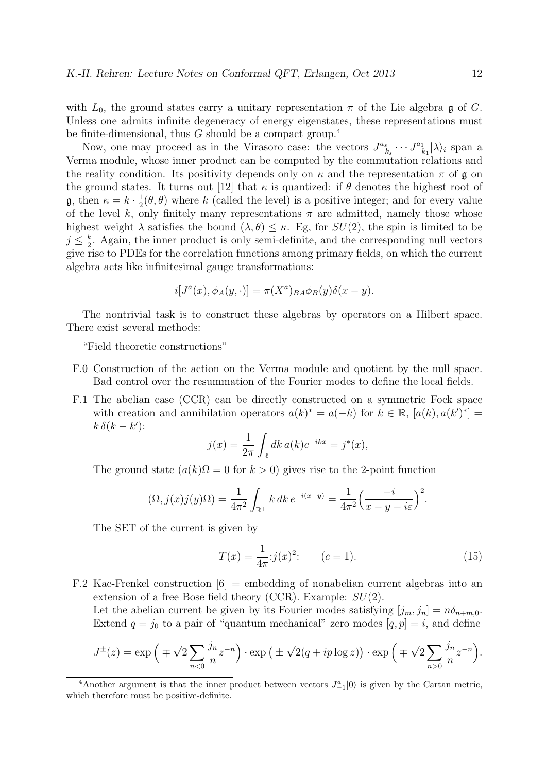with  $L_0$ , the ground states carry a unitary representation  $\pi$  of the Lie algebra g of G. Unless one admits infinite degeneracy of energy eigenstates, these representations must be finite-dimensional, thus  $G$  should be a compact group.<sup>4</sup>

Now, one may proceed as in the Virasoro case: the vectors  $J_{-k}^{a_s}$  $\frac{a_s}{-k_s}\cdots J^{a_1}_{-k_s}$  $\binom{a_1}{-k_1}$   $\lambda_i$  span a Verma module, whose inner product can be computed by the commutation relations and the reality condition. Its positivity depends only on  $\kappa$  and the representation  $\pi$  of g on the ground states. It turns out [12] that  $\kappa$  is quantized: if  $\theta$  denotes the highest root of  $\mathfrak{g}, \text{ then } \kappa = k \cdot \frac{1}{2}$  $\frac{1}{2}(\theta, \theta)$  where k (called the level) is a positive integer; and for every value of the level k, only finitely many representations  $\pi$  are admitted, namely those whose highest weight  $\lambda$  satisfies the bound  $(\lambda, \theta) \leq \kappa$ . Eg, for  $SU(2)$ , the spin is limited to be  $j \leq \frac{k}{2}$  $\frac{k}{2}$ . Again, the inner product is only semi-definite, and the corresponding null vectors give rise to PDEs for the correlation functions among primary fields, on which the current algebra acts like infinitesimal gauge transformations:

$$
i[J^{a}(x), \phi_{A}(y, \cdot)] = \pi(X^{a})_{BA}\phi_{B}(y)\delta(x - y).
$$

The nontrivial task is to construct these algebras by operators on a Hilbert space. There exist several methods:

"Field theoretic constructions"

- F.0 Construction of the action on the Verma module and quotient by the null space. Bad control over the resummation of the Fourier modes to define the local fields.
- F.1 The abelian case (CCR) can be directly constructed on a symmetric Fock space with creation and annihilation operators  $a(k)^* = a(-k)$  for  $k \in \mathbb{R}$ ,  $[a(k), a(k')^*] =$  $k \, \delta(k-k')$ :

$$
j(x) = \frac{1}{2\pi} \int_{\mathbb{R}} dk \, a(k) e^{-ikx} = j^*(x),
$$

The ground state  $(a(k)\Omega = 0$  for  $k > 0$ ) gives rise to the 2-point function

$$
(\Omega, j(x)j(y)\Omega) = \frac{1}{4\pi^2} \int_{\mathbb{R}^+} k \, dk \, e^{-i(x-y)} = \frac{1}{4\pi^2} \left(\frac{-i}{x-y-i\varepsilon}\right)^2.
$$

The SET of the current is given by

$$
T(x) = \frac{1}{4\pi} : j(x)^2: \qquad (c = 1).
$$
 (15)

F.2 Kac-Frenkel construction [6] = embedding of nonabelian current algebras into an extension of a free Bose field theory (CCR). Example:  $SU(2)$ .

Let the abelian current be given by its Fourier modes satisfying  $[j_m, j_n] = n\delta_{n+m,0}$ . Extend  $q = j_0$  to a pair of "quantum mechanical" zero modes  $[q, p] = i$ , and define

$$
J^{\pm}(z) = \exp\left(\mp\sqrt{2}\sum_{n<0}\frac{j_n}{n}z^{-n}\right)\cdot\exp\left(\pm\sqrt{2}(q+ip\log z)\right)\cdot\exp\left(\mp\sqrt{2}\sum_{n>0}\frac{j_n}{n}z^{-n}\right).
$$

<sup>&</sup>lt;sup>4</sup>Another argument is that the inner product between vectors  $J_{-1}^a|0\rangle$  is given by the Cartan metric, which therefore must be positive-definite.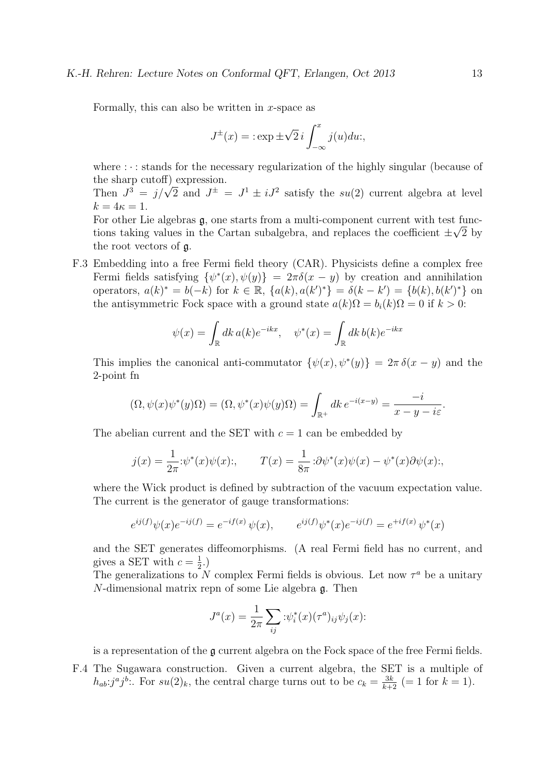Formally, this can also be written in  $x$ -space as

$$
J^{\pm}(x) = \exp \pm \sqrt{2} i \int_{-\infty}^{x} j(u) du;
$$

where  $\cdots$ : stands for the necessary regularization of the highly singular (because of the sharp cutoff) expression.

Then  $J^3 = j/\sqrt{2}$  and  $J^{\pm} = J^1 \pm iJ^2$  satisfy the su(2) current algebra at level  $k = 4\kappa = 1.$ 

For other Lie algebras g, one starts from a multi-component current with test functions taking values in the Cartan subalgebra, and replaces the coefficient  $\pm\sqrt{2}$  by the root vectors of g.

F.3 Embedding into a free Fermi field theory (CAR). Physicists define a complex free Fermi fields satisfying  $\{\psi^*(x), \psi(y)\} = 2\pi \delta(x - y)$  by creation and annihilation operators,  $a(k)^* = b(-k)$  for  $k \in \mathbb{R}$ ,  $\{a(k), a(k')^*\} = \delta(k - k') = \{b(k), b(k')^*\}$  on the antisymmetric Fock space with a ground state  $a(k)$  $\Omega = b_i(k)$  $\Omega = 0$  if  $k > 0$ :

$$
\psi(x) = \int_{\mathbb{R}} dk \, a(k) e^{-ikx}, \quad \psi^*(x) = \int_{\mathbb{R}} dk \, b(k) e^{-ikx}
$$

This implies the canonical anti-commutator  $\{\psi(x), \psi^*(y)\} = 2\pi \delta(x - y)$  and the 2-point fn

$$
(\Omega, \psi(x)\psi^*(y)\Omega) = (\Omega, \psi^*(x)\psi(y)\Omega) = \int_{\mathbb{R}^+} dk \, e^{-i(x-y)} = \frac{-i}{x-y-i\varepsilon}.
$$

The abelian current and the SET with  $c = 1$  can be embedded by

$$
j(x) = \frac{1}{2\pi} \psi^*(x)\psi(x); \qquad T(x) = \frac{1}{8\pi} \psi^*(x)\psi(x) - \psi^*(x)\partial\psi(x);
$$

where the Wick product is defined by subtraction of the vacuum expectation value. The current is the generator of gauge transformations:

$$
e^{ij(f)}\psi(x)e^{-ij(f)} = e^{-if(x)}\psi(x), \qquad e^{ij(f)}\psi^*(x)e^{-ij(f)} = e^{+if(x)}\psi^*(x)
$$

and the SET generates diffeomorphisms. (A real Fermi field has no current, and gives a SET with  $c=\frac{1}{2}$  $(\frac{1}{2})$ 

The generalizations to N complex Fermi fields is obvious. Let now  $\tau^a$  be a unitary N-dimensional matrix repn of some Lie algebra g. Then

$$
J^{a}(x) = \frac{1}{2\pi} \sum_{ij} \psi_i^*(x) (\tau^a)_{ij} \psi_j(x)
$$

is a representation of the  $\mathfrak g$  current algebra on the Fock space of the free Fermi fields.

F.4 The Sugawara construction. Given a current algebra, the SET is a multiple of  $h_{ab}$ :*j<sup>a</sup>j*<sup>b</sup>:. For  $su(2)_k$ , the central charge turns out to be  $c_k = \frac{3k}{k+2}$  (= 1 for  $k = 1$ ).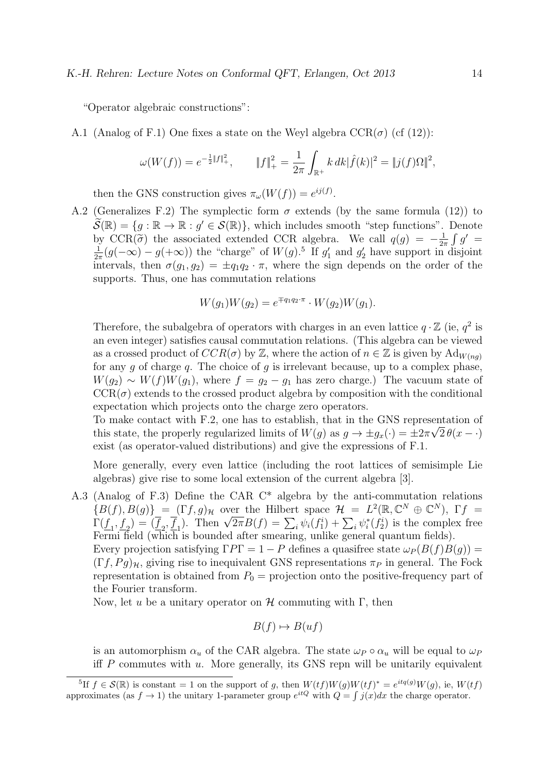"Operator algebraic constructions":

A.1 (Analog of F.1) One fixes a state on the Weyl algebra  $CCR(\sigma)$  (cf (12)):

$$
\omega(W(f)) = e^{-\frac{1}{2}\|f\|_{+}^{2}}, \qquad \|f\|_{+}^{2} = \frac{1}{2\pi} \int_{\mathbb{R}^{+}} k \, dk |\hat{f}(k)|^{2} = \|j(f)\Omega\|^{2},
$$

then the GNS construction gives  $\pi_{\omega}(W(f)) = e^{ij(f)}$ .

A.2 (Generalizes F.2) The symplectic form  $\sigma$  extends (by the same formula (12)) to  $\widetilde{\mathcal{S}}(\mathbb{R}) = \{g : \mathbb{R} \to \mathbb{R} : g' \in \mathcal{S}(\mathbb{R})\},\$  which includes smooth "step functions". Denote by CCR( $\tilde{\sigma}$ ) the associated extended CCR algebra. We call  $q(g) = -\frac{1}{2\pi}$  $\frac{1}{2\pi} \int g' =$ 1  $\frac{1}{2\pi}(g(-\infty) - g(+\infty))$  the "charge" of  $W(g)$ .<sup>5</sup> If  $g'_1$  and  $g'_2$  have support in disjoint intervals, then  $\sigma(g_1, g_2) = \pm q_1 q_2 \cdot \pi$ , where the sign depends on the order of the supports. Thus, one has commutation relations

$$
W(g_1)W(g_2) = e^{\mp q_1 q_2 \cdot \pi} \cdot W(g_2)W(g_1).
$$

Therefore, the subalgebra of operators with charges in an even lattice  $q \cdot \mathbb{Z}$  (ie,  $q^2$  is an even integer) satisfies causal commutation relations. (This algebra can be viewed as a crossed product of  $CCR(\sigma)$  by Z, where the action of  $n \in \mathbb{Z}$  is given by  $\text{Ad}_{W(nq)}$ for any q of charge q. The choice of q is irrelevant because, up to a complex phase,  $W(g_2) \sim W(f)W(g_1)$ , where  $f = g_2 - g_1$  has zero charge.) The vacuum state of  $CCR(\sigma)$  extends to the crossed product algebra by composition with the conditional expectation which projects onto the charge zero operators.

To make contact with F.2, one has to establish, that in the GNS representation of this state, the properly regularized limits of  $W(g)$  as  $g \to \pm g_x(\cdot) = \pm 2\pi \sqrt{2} \theta(x - \cdot)$ exist (as operator-valued distributions) and give the expressions of F.1.

More generally, every even lattice (including the root lattices of semisimple Lie algebras) give rise to some local extension of the current algebra [3].

A.3 (Analog of F.3) Define the CAR C\* algebra by the anti-commutation relations  ${B(f), B(g)} = {(\Gamma f, g)_{\mathcal{H}}}$  over the Hilbert space  $\mathcal{H} = L^2(\mathbb{R}, \mathbb{C}^N \oplus \mathbb{C}^N)$ ,  $\Gamma f =$  $\Gamma(\underline{f}_1, \underline{f}_2) = (\overline{f}_2, \overline{f}_1)$ . Then  $\sqrt{2\pi}B(f) = \sum_i \psi_i(f_1^i) + \sum_i \psi_i^*(f_2^i)$  is the complex free Fermi field (which is bounded after smearing, unlike general quantum fields). Every projection satisfying  $\Gamma P\Gamma = 1 - P$  defines a quasifree state  $\omega_P(B(f)B(g))$  =  $(\Gamma f, P g)_{\mathcal{H}}$ , giving rise to inequivalent GNS representations  $\pi_P$  in general. The Fock representation is obtained from  $P_0$  = projection onto the positive-frequency part of

the Fourier transform.

Now, let u be a unitary operator on  $\mathcal H$  commuting with  $\Gamma$ , then

$$
B(f) \mapsto B(uf)
$$

is an automorphism  $\alpha_u$  of the CAR algebra. The state  $\omega_P \circ \alpha_u$  will be equal to  $\omega_P$ iff  $P$  commutes with  $u$ . More generally, its GNS repn will be unitarily equivalent

<sup>&</sup>lt;sup>5</sup>If  $f \in \mathcal{S}(\mathbb{R})$  is constant = 1 on the support of g, then  $W(tf)W(g)W(tf)^* = e^{itq(g)}W(g)$ , ie,  $W(tf)$ approximates (as  $f \to 1$ ) the unitary 1-parameter group  $e^{itQ}$  with  $Q = \int j(x)dx$  the charge operator.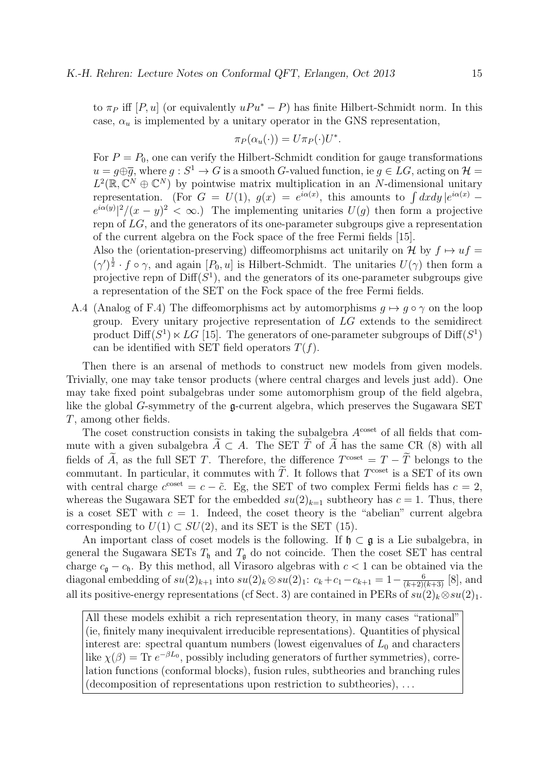to  $\pi_P$  iff  $[P, u]$  (or equivalently  $uPu^* - P$ ) has finite Hilbert-Schmidt norm. In this case,  $\alpha_u$  is implemented by a unitary operator in the GNS representation,

$$
\pi_P(\alpha_u(\cdot)) = U \pi_P(\cdot) U^*.
$$

For  $P = P_0$ , one can verify the Hilbert-Schmidt condition for gauge transformations  $u = g \oplus \overline{g}$ , where  $g : S^1 \to G$  is a smooth G-valued function, ie  $g \in LG$ , acting on  $\mathcal{H} =$  $L^2(\mathbb{R}, \mathbb{C}^N \oplus \mathbb{C}^N)$  by pointwise matrix multiplication in an N-dimensional unitary representation. (For  $G = U(1)$ ,  $g(x) = e^{i\alpha(x)}$ , this amounts to  $\int dx dy \, |e^{i\alpha(x)} - e^{i\alpha(x)}|$  $e^{i\alpha(y)}|^2/(x-y)^2 < \infty$ .) The implementing unitaries  $U(g)$  then form a projective repn of  $LG$ , and the generators of its one-parameter subgroups give a representation of the current algebra on the Fock space of the free Fermi fields [15].

Also the (orientation-preserving) diffeomorphisms act unitarily on H by  $f \mapsto uf =$  $(\gamma')^{\frac{1}{2}} \cdot f \circ \gamma$ , and again  $[P_0, u]$  is Hilbert-Schmidt. The unitaries  $U(\gamma)$  then form a projective repn of  $\text{Diff}(S^1)$ , and the generators of its one-parameter subgroups give a representation of the SET on the Fock space of the free Fermi fields.

A.4 (Analog of F.4) The diffeomorphisms act by automorphisms  $q \mapsto q \circ \gamma$  on the loop group. Every unitary projective representation of LG extends to the semidirect product  $\text{Diff}(S^1) \ltimes LG$  [15]. The generators of one-parameter subgroups of  $\text{Diff}(S^1)$ can be identified with SET field operators  $T(f)$ .

Then there is an arsenal of methods to construct new models from given models. Trivially, one may take tensor products (where central charges and levels just add). One may take fixed point subalgebras under some automorphism group of the field algebra, like the global G-symmetry of the g-current algebra, which preserves the Sugawara SET T, among other fields.

The coset construction consists in taking the subalgebra  $A^{\text{coset}}$  of all fields that commute with a given subalgebra  $A \subset A$ . The SET T of A has the same CR (8) with all fields of A, as the full SET T. Therefore, the difference  $T^{\text{coset}} = T - T$  belongs to the commutant. In particular, it commutes with  $\overline{T}$ . It follows that  $T^{\text{coset}}$  is a SET of its own with central charge  $c^{\text{coset}} = c - \tilde{c}$ . Eg, the SET of two complex Fermi fields has  $c = 2$ , whereas the Sugawara SET for the embedded  $su(2)_{k=1}$  subtheory has  $c = 1$ . Thus, there is a coset SET with  $c = 1$ . Indeed, the coset theory is the "abelian" current algebra corresponding to  $U(1) \subset SU(2)$ , and its SET is the SET (15).

An important class of coset models is the following. If  $\mathfrak{h} \subset \mathfrak{g}$  is a Lie subalgebra, in general the Sugawara SETs  $T_{\mathfrak{h}}$  and  $T_{\mathfrak{g}}$  do not coincide. Then the coset SET has central charge  $c_{\mathfrak{g}} - c_{\mathfrak{h}}$ . By this method, all Virasoro algebras with  $c < 1$  can be obtained via the diagonal embedding of  $su(2)_{k+1}$  into  $su(2)_k \otimes su(2)_1$ :  $c_k + c_1 - c_{k+1} = 1 - \frac{6}{(k+2)(k+3)}$  [8], and all its positive-energy representations (cf Sect. 3) are contained in PERs of  $su(2)_k \otimes su(2)_1$ .

All these models exhibit a rich representation theory, in many cases "rational" (ie, finitely many inequivalent irreducible representations). Quantities of physical interest are: spectral quantum numbers (lowest eigenvalues of  $L_0$  and characters like  $\chi(\beta) = \text{Tr } e^{-\beta L_0}$ , possibly including generators of further symmetries), correlation functions (conformal blocks), fusion rules, subtheories and branching rules (decomposition of representations upon restriction to subtheories), . . .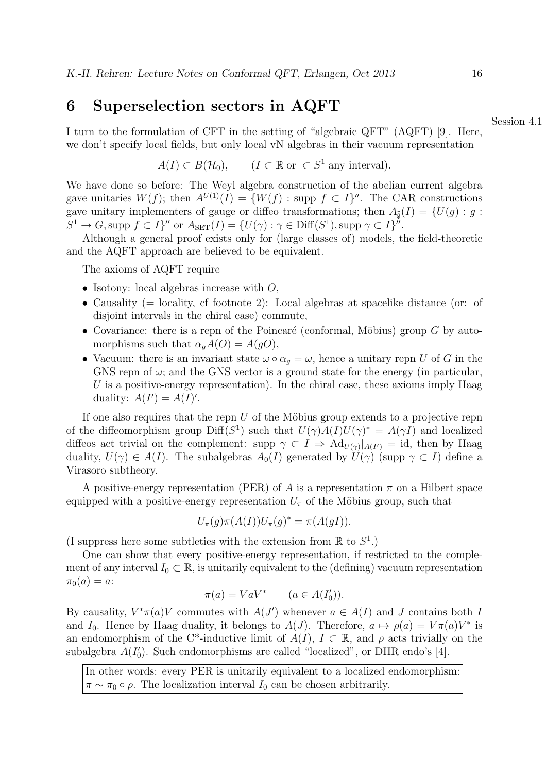### 6 Superselection sectors in AQFT

I turn to the formulation of CFT in the setting of "algebraic QFT" (AQFT) [9]. Here, we don't specify local fields, but only local vN algebras in their vacuum representation

$$
A(I) \subset B(\mathcal{H}_0)
$$
,  $(I \subset \mathbb{R} \text{ or } \subset S^1 \text{ any interval}).$ 

We have done so before: The Weyl algebra construction of the abelian current algebra gave unitaries  $W(f)$ ; then  $A^{U(1)}(I) = \{W(f) : \text{supp } f \subset I\}''$ . The CAR constructions gave unitary implementers of gauge or diffeo transformations; then  $A_{\hat{p}}(I) = \{U(q) : q :$  $S^1 \to G$ , supp  $f \subset I$ <sup>y'</sup> or  $A_{\text{SET}}(I) = \{U(\gamma) : \gamma \in \text{Diff}(S^1)$ , supp  $\gamma \subset I$ <sup>y'</sup>.

Although a general proof exists only for (large classes of) models, the field-theoretic and the AQFT approach are believed to be equivalent.

The axioms of AQFT require

- Isotony: local algebras increase with  $O$ ,
- Causality ( $=$  locality, cf footnote 2): Local algebras at spacelike distance (or: of disjoint intervals in the chiral case) commute,
- Covariance: there is a repn of the Poincaré (conformal, Möbius) group  $G$  by automorphisms such that  $\alpha_g A(O) = A(gO)$ ,
- Vacuum: there is an invariant state  $\omega \circ \alpha_q = \omega$ , hence a unitary repn U of G in the GNS repn of  $\omega$ ; and the GNS vector is a ground state for the energy (in particular,  $U$  is a positive-energy representation). In the chiral case, these axioms imply Haag duality:  $A(I') = A(I)'$ .

If one also requires that the repn  $U$  of the Möbius group extends to a projective repn of the diffeomorphism group  $\text{Diff}(S^1)$  such that  $U(\gamma)A(I)U(\gamma)^* = A(\gamma I)$  and localized diffeos act trivial on the complement:  $\sup_{\gamma} \gamma \subset I \Rightarrow \text{Ad}_{U(\gamma)}|_{A(I')} = \text{id}$ , then by Haag duality,  $U(\gamma) \in A(I)$ . The subalgebras  $A_0(I)$  generated by  $U(\gamma)$  (supp  $\gamma \subset I$ ) define a Virasoro subtheory.

A positive-energy representation (PER) of A is a representation  $\pi$  on a Hilbert space equipped with a positive-energy representation  $U_{\pi}$  of the Möbius group, such that

$$
U_{\pi}(g)\pi(A(I))U_{\pi}(g)^{*} = \pi(A(gI)).
$$

(I suppress here some subtleties with the extension from  $\mathbb R$  to  $S^1$ .)

One can show that every positive-energy representation, if restricted to the complement of any interval  $I_0 \subset \mathbb{R}$ , is unitarily equivalent to the (defining) vacuum representation  $\pi_0(a) = a$ :

$$
\pi(a) = VaV^* \qquad (a \in A(I'_0)).
$$

By causality,  $V^*\pi(a)V$  commutes with  $A(J')$  whenever  $a \in A(I)$  and J contains both I and I<sub>0</sub>. Hence by Haag duality, it belongs to  $A(J)$ . Therefore,  $a \mapsto \rho(a) = V \pi(a)V^*$  is an endomorphism of the C<sup>\*</sup>-inductive limit of  $A(I)$ ,  $I \subset \mathbb{R}$ , and  $\rho$  acts trivially on the subalgebra  $A(I'_0)$ . Such endomorphisms are called "localized", or DHR endo's [4].

In other words: every PER is unitarily equivalent to a localized endomorphism:  $\pi \sim \pi_0 \circ \rho$ . The localization interval  $I_0$  can be chosen arbitrarily.

Session 4.1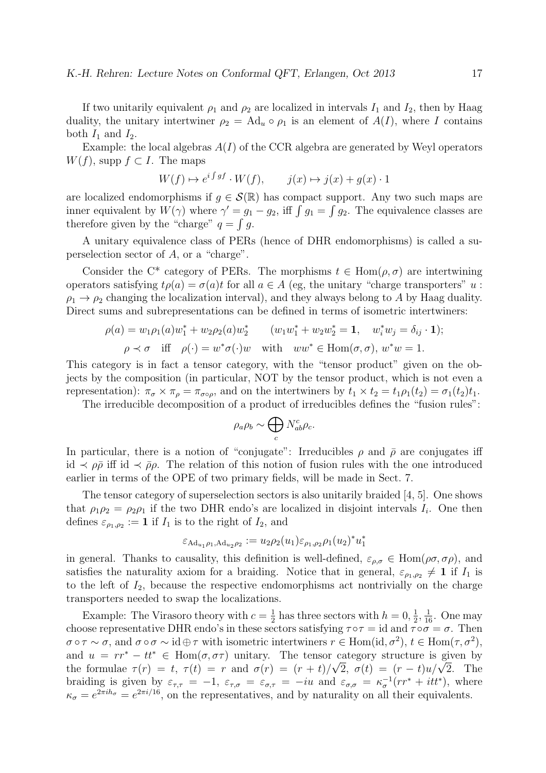If two unitarily equivalent  $\rho_1$  and  $\rho_2$  are localized in intervals  $I_1$  and  $I_2$ , then by Haag duality, the unitary intertwiner  $\rho_2 = \text{Ad}_u \circ \rho_1$  is an element of  $A(I)$ , where I contains both  $I_1$  and  $I_2$ .

Example: the local algebras  $A(I)$  of the CCR algebra are generated by Weyl operators  $W(f)$ , supp  $f \subset I$ . The maps

$$
W(f) \mapsto e^{i \int gf} \cdot W(f), \qquad j(x) \mapsto j(x) + g(x) \cdot 1
$$

are localized endomorphisms if  $q \in \mathcal{S}(\mathbb{R})$  has compact support. Any two such maps are inner equivalent by  $W(\gamma)$  where  $\gamma' = g_1 - g_2$ , iff  $\int g_1 = \int g_2$ . The equivalence classes are therefore given by the "charge"  $q = \int q$ .

A unitary equivalence class of PERs (hence of DHR endomorphisms) is called a superselection sector of A, or a "charge".

Consider the C<sup>\*</sup> category of PERs. The morphisms  $t \in \text{Hom}(\rho, \sigma)$  are intertwining operators satisfying  $t\rho(a) = \sigma(a)t$  for all  $a \in A$  (eg, the unitary "charge transporters" u:  $\rho_1 \rightarrow \rho_2$  changing the localization interval), and they always belong to A by Haag duality. Direct sums and subrepresentations can be defined in terms of isometric intertwiners:

$$
\rho(a) = w_1 \rho_1(a) w_1^* + w_2 \rho_2(a) w_2^* \qquad (w_1 w_1^* + w_2 w_2^* = 1, \quad w_i^* w_j = \delta_{ij} \cdot 1);
$$
  

$$
\rho \prec \sigma \quad \text{iff} \quad \rho(\cdot) = w^* \sigma(\cdot) w \quad \text{with} \quad ww^* \in \text{Hom}(\sigma, \sigma), \ w^* w = 1.
$$

This category is in fact a tensor category, with the "tensor product" given on the objects by the composition (in particular, NOT by the tensor product, which is not even a representation):  $\pi_{\sigma} \times \pi_{\rho} = \pi_{\sigma \circ \rho}$ , and on the intertwiners by  $t_1 \times t_2 = t_1 \rho_1(t_2) = \sigma_1(t_2)t_1$ .

The irreducible decomposition of a product of irreducibles defines the "fusion rules":

$$
\rho_a \rho_b \sim \bigoplus_c N_{ab}^c \rho_c.
$$

In particular, there is a notion of "conjugate": Irreducibles  $\rho$  and  $\bar{\rho}$  are conjugates iff id  $\prec \rho \bar{\rho}$  iff id  $\prec \bar{\rho} \rho$ . The relation of this notion of fusion rules with the one introduced earlier in terms of the OPE of two primary fields, will be made in Sect. 7.

The tensor category of superselection sectors is also unitarily braided [4, 5]. One shows that  $\rho_1 \rho_2 = \rho_2 \rho_1$  if the two DHR endo's are localized in disjoint intervals  $I_i$ . One then defines  $\varepsilon_{\rho_1,\rho_2} := \mathbf{1}$  if  $I_1$  is to the right of  $I_2$ , and

$$
\varepsilon_{\mathrm{Ad}_{u_1}\rho_1,\mathrm{Ad}_{u_2}\rho_2}:=u_2\rho_2(u_1)\varepsilon_{\rho_1,\rho_2}\rho_1(u_2)^*u_1^*
$$

in general. Thanks to causality, this definition is well-defined,  $\varepsilon_{\rho,\sigma} \in \text{Hom}(\rho\sigma,\sigma\rho)$ , and satisfies the naturality axiom for a braiding. Notice that in general,  $\varepsilon_{\rho_1,\rho_2} \neq 1$  if  $I_1$  is to the left of  $I_2$ , because the respective endomorphisms act nontrivially on the charge transporters needed to swap the localizations.

Example: The Virasoro theory with  $c = \frac{1}{2}$  $\frac{1}{2}$  has three sectors with  $h = 0, \frac{1}{2}$  $\frac{1}{2}, \frac{1}{16}$ . One may choose representative DHR endo's in these sectors satisfying  $\tau \circ \tau = id$  and  $\tau \circ \sigma = \sigma$ . Then  $\sigma \circ \tau \sim \sigma$ , and  $\sigma \circ \sigma \sim \text{id} \oplus \tau$  with isometric intertwiners  $r \in \text{Hom}(\text{id}, \sigma^2)$ ,  $t \in \text{Hom}(\tau, \sigma^2)$ , and  $u = rr^* - tt^* \in \text{Hom}(\sigma, \sigma\tau)$  unitary. The tensor category structure is given by the formulae  $\tau(r) = t$ ,  $\tau(t) = r$  and  $\sigma(r) = (r + t)/\sqrt{2}$ ,  $\sigma(t) = (r - t)u/\sqrt{2}$ . The braiding is given by  $\varepsilon_{\tau,\tau} = -1$ ,  $\varepsilon_{\tau,\sigma} = \varepsilon_{\sigma,\tau} = -iu$  and  $\varepsilon_{\sigma,\sigma} = \kappa_{\sigma}^{-1}(rr^* + itt^*)$ , where  $\kappa_{\sigma} = e^{2\pi i h_{\sigma}} = e^{2\pi i/16}$ , on the representatives, and by naturality on all their equivalents.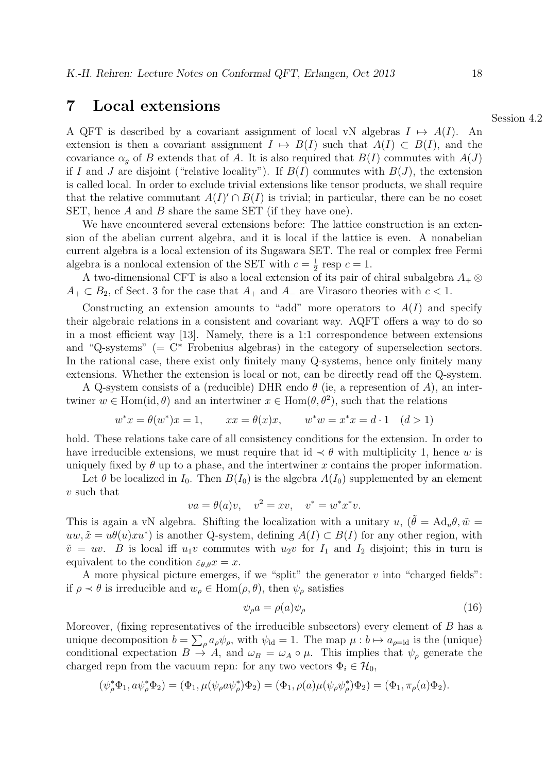#### 7 Local extensions

A QFT is described by a covariant assignment of local vN algebras  $I \mapsto A(I)$ . An extension is then a covariant assignment  $I \mapsto B(I)$  such that  $A(I) \subset B(I)$ , and the covariance  $\alpha_q$  of B extends that of A. It is also required that  $B(I)$  commutes with  $A(J)$ if I and J are disjoint ("relative locality"). If  $B(I)$  commutes with  $B(J)$ , the extension is called local. In order to exclude trivial extensions like tensor products, we shall require that the relative commutant  $A(I) \cap B(I)$  is trivial; in particular, there can be no coset SET, hence A and B share the same SET (if they have one).

We have encountered several extensions before: The lattice construction is an extension of the abelian current algebra, and it is local if the lattice is even. A nonabelian current algebra is a local extension of its Sugawara SET. The real or complex free Fermi algebra is a nonlocal extension of the SET with  $c = \frac{1}{2}$  $\frac{1}{2}$  resp  $c = 1$ .

A two-dimensional CFT is also a local extension of its pair of chiral subalgebra  $A_+ \otimes$  $A_+ \subset B_2$ , cf Sect. 3 for the case that  $A_+$  and  $A_-$  are Virasoro theories with  $c < 1$ .

Constructing an extension amounts to "add" more operators to  $A(I)$  and specify their algebraic relations in a consistent and covariant way. AQFT offers a way to do so in a most efficient way [13]. Namely, there is a 1:1 correspondence between extensions and "Q-systems" ( $\subset \mathbb{C}^*$  Frobenius algebras) in the category of superselection sectors. In the rational case, there exist only finitely many Q-systems, hence only finitely many extensions. Whether the extension is local or not, can be directly read off the Q-system.

A Q-system consists of a (reducible) DHR endo  $\theta$  (ie, a represention of A), an intertwiner  $w \in \text{Hom}(\text{id}, \theta)$  and an intertwiner  $x \in \text{Hom}(\theta, \theta^2)$ , such that the relations

$$
w^*x = \theta(w^*)x = 1,
$$
  $xx = \theta(x)x,$   $w^*w = x^*x = d \cdot 1$   $(d > 1)$ 

hold. These relations take care of all consistency conditions for the extension. In order to have irreducible extensions, we must require that id  $\prec \theta$  with multiplicity 1, hence w is uniquely fixed by  $\theta$  up to a phase, and the intertwiner x contains the proper information.

Let  $\theta$  be localized in  $I_0$ . Then  $B(I_0)$  is the algebra  $A(I_0)$  supplemented by an element v such that

$$
va = \theta(a)v, \quad v^2 = xv, \quad v^* = w^*x^*v.
$$

This is again a vN algebra. Shifting the localization with a unitary u,  $(\tilde{\theta} = \text{Ad}_u \theta, \tilde{w} =$  $uw, \tilde{x} = u\theta(u)xu^*$  is another Q-system, defining  $A(I) \subset B(I)$  for any other region, with  $\tilde{v} = uv$ . B is local iff  $u_1v$  commutes with  $u_2v$  for  $I_1$  and  $I_2$  disjoint; this in turn is equivalent to the condition  $\varepsilon_{\theta,\theta}x=x$ .

A more physical picture emerges, if we "split" the generator  $v$  into "charged fields": if  $\rho \prec \theta$  is irreducible and  $w_{\rho} \in \text{Hom}(\rho, \theta)$ , then  $\psi_{\rho}$  satisfies

$$
\psi_{\rho} a = \rho(a)\psi_{\rho} \tag{16}
$$

Moreover, (fixing representatives of the irreducible subsectors) every element of  $B$  has a unique decomposition  $b = \sum_{\rho} a_{\rho} \psi_{\rho}$ , with  $\psi_{\rm id} = 1$ . The map  $\mu : b \mapsto a_{\rho=\rm id}$  is the (unique) conditional expectation  $B \to A$ , and  $\omega_B = \omega_A \circ \mu$ . This implies that  $\psi_\rho$  generate the charged repn from the vacuum repn: for any two vectors  $\Phi_i \in \mathcal{H}_0$ ,

$$
(\psi_{\rho}^* \Phi_1, a \psi_{\rho}^* \Phi_2) = (\Phi_1, \mu(\psi_{\rho} a \psi_{\rho}^*) \Phi_2) = (\Phi_1, \rho(a) \mu(\psi_{\rho} \psi_{\rho}^*) \Phi_2) = (\Phi_1, \pi_{\rho}(a) \Phi_2).
$$

Session 4.2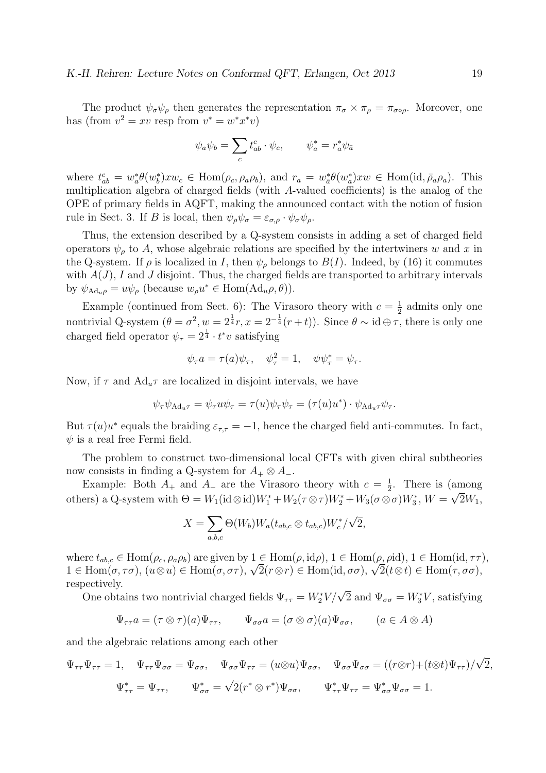The product  $\psi_{\sigma}\psi_{\rho}$  then generates the representation  $\pi_{\sigma}\times\pi_{\rho}=\pi_{\sigma\circ\rho}$ . Moreover, one has (from  $v^2 = xv$  resp from  $v^* = w^*x^*v$ )

$$
\psi_a \psi_b = \sum_c t_{ab}^c \cdot \psi_c, \qquad \psi_a^* = r_a^* \psi_{\bar{a}}
$$

where  $t_{ab}^c = w_a^* \theta(w_b^*) x w_c \in \text{Hom}(\rho_c, \rho_a \rho_b)$ , and  $r_a = w_a^* \theta(w_a^*) x w \in \text{Hom}(\text{id}, \bar{\rho}_a \rho_a)$ . This multiplication algebra of charged fields (with A-valued coefficients) is the analog of the OPE of primary fields in AQFT, making the announced contact with the notion of fusion rule in Sect. 3. If B is local, then  $\psi_{\rho}\psi_{\sigma} = \varepsilon_{\sigma,\rho} \cdot \psi_{\sigma}\psi_{\rho}$ .

Thus, the extension described by a Q-system consists in adding a set of charged field operators  $\psi_{\rho}$  to A, whose algebraic relations are specified by the intertwiners w and x in the Q-system. If  $\rho$  is localized in I, then  $\psi_{\rho}$  belongs to  $B(I)$ . Indeed, by (16) it commutes with  $A(J)$ , I and J disjoint. Thus, the charged fields are transported to arbitrary intervals by  $\psi_{\text{Ad}_u\rho} = u\psi_\rho$  (because  $w_\rho u^* \in \text{Hom}(\text{Ad}_u\rho, \theta)$ ).

Example (continued from Sect. 6): The Virasoro theory with  $c = \frac{1}{2}$  $\frac{1}{2}$  admits only one nontrivial Q-system  $(\theta = \sigma^2, w = 2^{\frac{1}{4}}r, x = 2^{-\frac{1}{4}}(r+t))$ . Since  $\theta \sim id \oplus \tau$ , there is only one charged field operator  $\psi_{\tau} = 2^{\frac{1}{4}} \cdot t^* v$  satisfying

$$
\psi_{\tau} a = \tau(a)\psi_{\tau}, \quad \psi_{\tau}^2 = 1, \quad \psi\psi_{\tau}^* = \psi_{\tau}.
$$

Now, if  $\tau$  and  $\text{Ad}_{u}\tau$  are localized in disjoint intervals, we have

$$
\psi_{\tau}\psi_{\mathrm{Ad}_{u^{\tau}}} = \psi_{\tau}u\psi_{\tau} = \tau(u)\psi_{\tau}\psi_{\tau} = (\tau(u)u^*)\cdot\psi_{\mathrm{Ad}_{u^{\tau}}}\psi_{\tau}.
$$

But  $\tau(u)u^*$  equals the braiding  $\varepsilon_{\tau,\tau} = -1$ , hence the charged field anti-commutes. In fact,  $\psi$  is a real free Fermi field.

The problem to construct two-dimensional local CFTs with given chiral subtheories now consists in finding a Q-system for  $A_+ \otimes A_-$ .

Example: Both  $A_+$  and  $A_-$  are the Virasoro theory with  $c = \frac{1}{2}$  $\frac{1}{2}$ . There is (among others) a Q-system with  $\Theta = W_1(\text{id}\otimes\text{id})W_1^* + W_2(\tau\otimes\tau)W_2^* + W_3(\sigma\otimes\sigma)W_3^*, W = \sqrt{2}W_1,$ 

$$
X = \sum_{a,b,c} \Theta(W_b) W_a(t_{ab,c} \otimes t_{ab,c}) W_c^* / \sqrt{2},
$$

where  $t_{abc} \in \text{Hom}(\rho_c, \rho_a \rho_b)$  are given by  $1 \in \text{Hom}(\rho, \text{id}\rho)$ ,  $1 \in \text{Hom}(\rho, \text{pid})$ ,  $1 \in \text{Hom}(\text{id}, \tau\tau)$ ,  $1 \in \text{Hom}(\sigma, \tau\sigma), (u\otimes u) \in \text{Hom}(\sigma, \sigma\tau), \sqrt{2}(r\otimes r) \in \text{Hom}(\text{id}, \sigma\sigma), \sqrt{2}(t\otimes t) \in \text{Hom}(\tau, \sigma\sigma),$ respectively.

One obtains two nontrivial charged fields  $\Psi_{\tau\tau} = W_2^* V / \sqrt{2}$  and  $\Psi_{\sigma\sigma} = W_3^* V$ , satisfying

$$
\Psi_{\tau\tau}a = (\tau \otimes \tau)(a)\Psi_{\tau\tau}, \qquad \Psi_{\sigma\sigma}a = (\sigma \otimes \sigma)(a)\Psi_{\sigma\sigma}, \qquad (a \in A \otimes A)
$$

and the algebraic relations among each other

$$
\Psi_{\tau\tau}\Psi_{\tau\tau} = 1, \quad \Psi_{\tau\tau}\Psi_{\sigma\sigma} = \Psi_{\sigma\sigma}, \quad \Psi_{\sigma\sigma}\Psi_{\tau\tau} = (u\otimes u)\Psi_{\sigma\sigma}, \quad \Psi_{\sigma\sigma}\Psi_{\sigma\sigma} = ((r\otimes r) + (t\otimes t)\Psi_{\tau\tau})/\sqrt{2},
$$

$$
\Psi_{\tau\tau}^* = \Psi_{\tau\tau}, \qquad \Psi_{\sigma\sigma}^* = \sqrt{2}(r^*\otimes r^*)\Psi_{\sigma\sigma}, \qquad \Psi_{\tau\tau}^*\Psi_{\tau\tau} = \Psi_{\sigma\sigma}^*\Psi_{\sigma\sigma} = 1.
$$